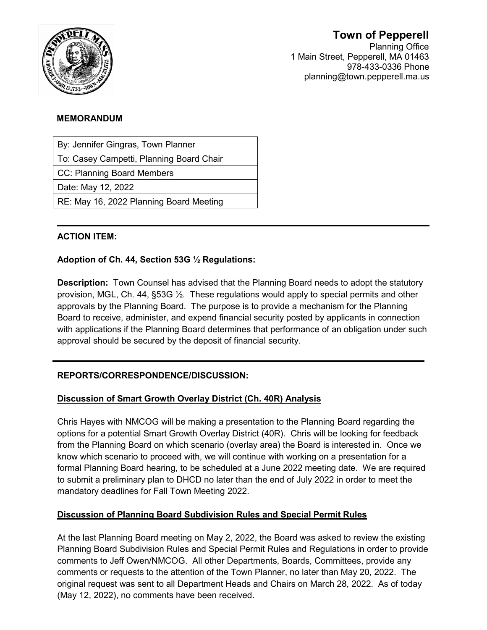

# **Town of Pepperell**

Planning Office 1 Main Street, Pepperell, MA 01463 978-433-0336 Phone planning@town.pepperell.ma.us

#### **MEMORANDUM**

By: Jennifer Gingras, Town Planner

To: Casey Campetti, Planning Board Chair

CC: Planning Board Members

Date: May 12, 2022

RE: May 16, 2022 Planning Board Meeting

## **ACTION ITEM:**

## **Adoption of Ch. 44, Section 53G ½ Regulations:**

**Description:** Town Counsel has advised that the Planning Board needs to adopt the statutory provision, MGL, Ch. 44, §53G ½. These regulations would apply to special permits and other approvals by the Planning Board. The purpose is to provide a mechanism for the Planning Board to receive, administer, and expend financial security posted by applicants in connection with applications if the Planning Board determines that performance of an obligation under such approval should be secured by the deposit of financial security.

# **REPORTS/CORRESPONDENCE/DISCUSSION:**

### **Discussion of Smart Growth Overlay District (Ch. 40R) Analysis**

Chris Hayes with NMCOG will be making a presentation to the Planning Board regarding the options for a potential Smart Growth Overlay District (40R). Chris will be looking for feedback from the Planning Board on which scenario (overlay area) the Board is interested in. Once we know which scenario to proceed with, we will continue with working on a presentation for a formal Planning Board hearing, to be scheduled at a June 2022 meeting date. We are required to submit a preliminary plan to DHCD no later than the end of July 2022 in order to meet the mandatory deadlines for Fall Town Meeting 2022.

### **Discussion of Planning Board Subdivision Rules and Special Permit Rules**

At the last Planning Board meeting on May 2, 2022, the Board was asked to review the existing Planning Board Subdivision Rules and Special Permit Rules and Regulations in order to provide comments to Jeff Owen/NMCOG. All other Departments, Boards, Committees, provide any comments or requests to the attention of the Town Planner, no later than May 20, 2022. The original request was sent to all Department Heads and Chairs on March 28, 2022. As of today (May 12, 2022), no comments have been received.